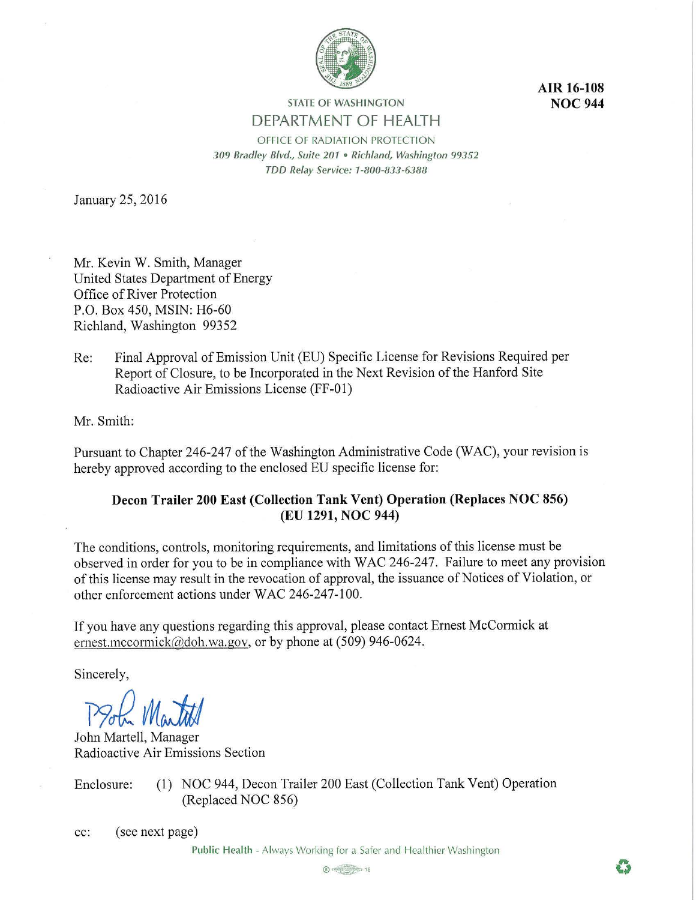

**AIR 16-108 NOC 944** 

# **STATE OF WASHINGTON**  DEPARTMENT OF HEALTH

OFFICE OF RADIATION PROTECTION *309 Bradley Blvd., Suite 201* • *Richland, Washington 99352 TDD Relay Service: 1-800-833-6388* 

January 25, 2016

Mr. Kevin W. Smith, Manager United States Department of Energy Office of River Protection P.O. Box 450, MSIN: H6-60 Richland, Washington 99352

Re: Final Approval of Emission Unit (EU) Specific License for Revisions Required per Report of Closure, to be Incorporated in the Next Revision of the Hanford Site Radioactive Air Emissions License (FF-01)

Mr. Smith:

Pursuant to Chapter 246-247 of the Washington Administrative Code (WAC), your revision is hereby approved according to the enclosed EU specific license for:

## **Decon Trailer 200 East (Collection Tank Vent) Operation (Replaces NOC 856) (EU 1291, NOC 944)**

The conditions, controls, monitoring requirements, and limitations of this license must be observed in order for you to be in compliance with WAC 246-247. Failure to meet any provision of this license may result in the revocation of approval, the issuance of Notices of Violation, or other enforcement actions under WAC 246-247-100.

If you have any questions regarding this approval, please contact Ernest McCormick at ernest.mccormick@doh.wa.gov, or by phone at (509) 946-0624.

Sincerely,

179J *M\_Jilj* 

John Martell, Manager Radioactive Air Emissions Section

Enclosure: (1) NOC 944, Decon Trailer 200 East (Collection Tank Vent) Operation (Replaced NOC 856)

cc: (see next page)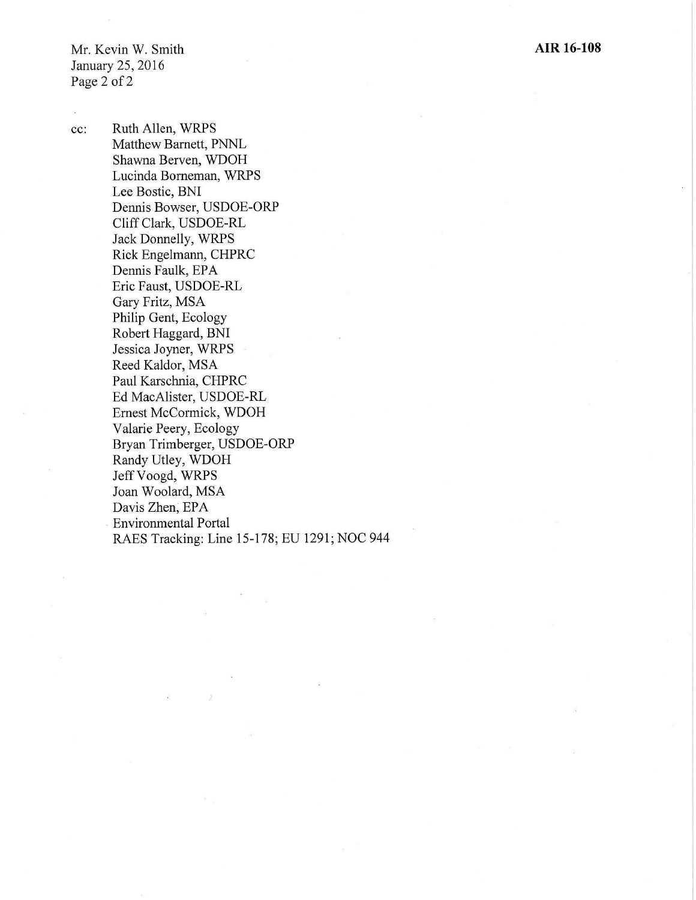Mr. Kevin W. Smith January 25, 2016 Page 2 of 2

cc: Ruth Allen, WRPS Matthew Barnett, PNNL Shawna Berven, WDOH Lucinda Borneman, WRPS Lee Bostic, BNI Dennis Bowser, USDOE-ORP Cliff Clark, USDOE-RL Jack Donnelly, WRPS Rick Engelmann, CHPRC Dennis Faulk, EPA Eric Faust, USDOE-RL Gary Fritz, MSA Philip Gent, Ecology Robert Haggard, BNI Jessica Joyner, WRPS Reed Kaldor, MSA Paul Karschnia, CHPRC Ed MacAlister, USDOE-RL Ernest McCormick, WDOH Valarie Peery, Ecology Bryan Trimberger, USDOE-ORP Randy Utley, WDOH Jeff Voogd, WRPS Joan Woolard, MSA Davis Zhen, EPA Environmental Portal RAES Tracking: Line 15-178; EU 1291; NOC 944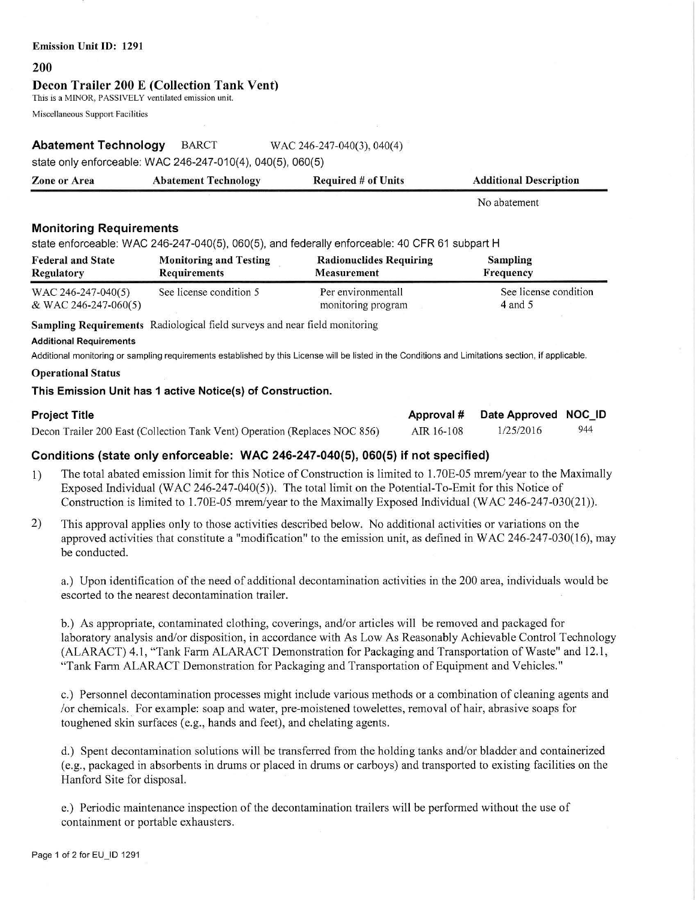#### **Emission Unit** ID: **1291**

#### **200**

#### **Decou Trailer 200** E **(Collection Tank Vent)**

This is a MINOR, PASSIVELY ventilated emission unit.

Miscellaneous Suppott Facilities

## **Abatement Technology** BARCT WAC 246-247-040(3), 040(4)

state only enforceable: WAC 246-247-010(4), 040(5), 060(5)

| <b>Zone or Area</b> | <b>Abatement Technology</b> | <b>Required # of Units</b> | <b>Additional Description</b> |
|---------------------|-----------------------------|----------------------------|-------------------------------|
|                     |                             |                            | No abatement                  |

## **Monitoring Requirements**

state enforceable: WAC 246-247-040(5), 060(5), and federally enforceable: 40 CFR 61 subpart H

| <b>Federal and State</b> | <b>Monitoring and Testing</b> | <b>Radionuclides Requiring</b> | <b>Sampling</b>       |
|--------------------------|-------------------------------|--------------------------------|-----------------------|
| Regulatory               | <b>Requirements</b>           | <b>Measurement</b>             | Frequency             |
| WAC 246-247-040(5)       | See license condition 5       | Per environmentall             | See license condition |
| & WAC 246-247-060(5)     |                               | monitoring program             | $4$ and 5             |

**Sampling Requirements** Radiological field surveys and near field monitoring

#### **Additional Requirements**

Additional monitoring or sampling requirements established by this License will be listed in the Conditions and Limitations section, if applicable.

#### **Operational Status**

#### **This Emission Unit has 1 active Notice(s) of Construction.**

| <b>Project Title</b>                                                       |            | Approval # Date Approved NOC_ID |     |
|----------------------------------------------------------------------------|------------|---------------------------------|-----|
| Decon Trailer 200 East (Collection Tank Vent) Operation (Replaces NOC 856) | AIR 16-108 | 1/25/2016                       | 944 |

## **Conditions (state only enforceable: WAC 246-247-040(5), 060(5) if not specified)**

- 1) The total abated emission limit for this Notice of Construction is limited to l.70E-05 mrem/year to the Maximally Exposed Individual (WAC 246-247-040(5)). The total limit on the Potential-To-Emit for this Notice of Construction is limited to l.70E-05 mrem/year to the Maximally Exposed Individual (WAC 246-247-030(21)).
- 2) This approval applies only to those activities described below. No additional activities or variations on the approved activities that constitute a "modification" to the emission unit, as defined in WAC 246-247-030(16), may be conducted.

a.) Upon identification of the need of additional decontamination activities in the 200 area, individuals would be escorted to the nearest decontamination trailer.

b.) As appropriate, contaminated clothing, coverings, and/or articles will be removed and packaged for laboratory analysis and/or disposition, in accordance with As Low As Reasonably Achievable Control Technology (ALARACT) 4.1, "Tank Farm ALARACT Demonstration for Packaging and Transportation of Waste" and 12.1, "Tank Fann ALARACT Demonstration for Packaging and Transportation of Equipment and Vehicles."

c.) Personnel decontamination processes might include various methods or a combination of cleaning agents and /or chemicals .. For example: soap and water, pre-moistened towelettes, removal of hair, abrasive soaps for toughened skin surfaces (e.g., hands and feet), and chelating agents.

d.) Spent decontamination solutions will be transferred from the holding tanks and/or bladder and containerized (e.g., packaged in absorbents in drums or placed in drums or carboys) and transported to existing facilities on the Hanford Site for disposal.

e.) Periodic maintenance inspection of the decontamination trailers will be performed without the use of containment or portable exhausters.